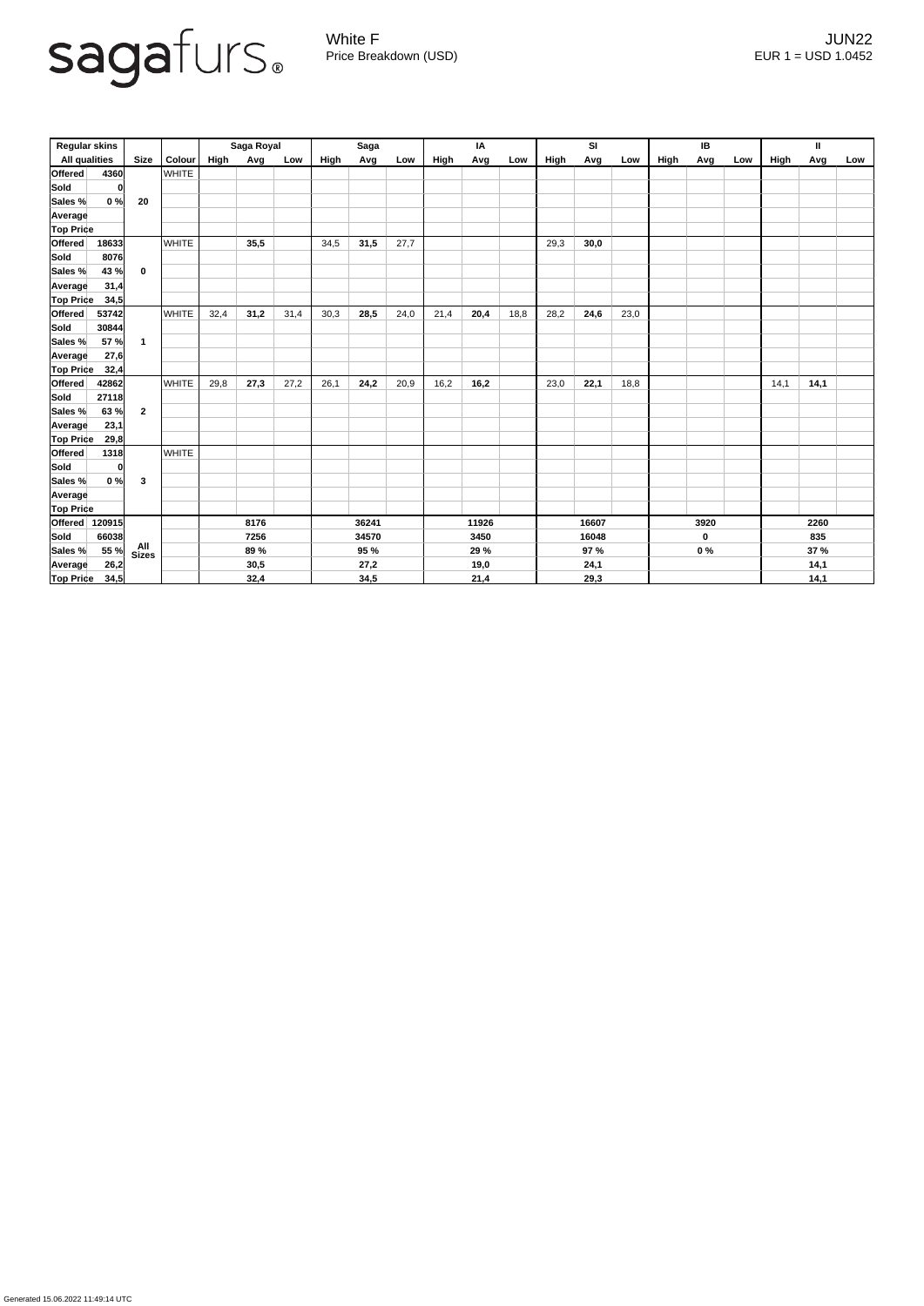

Generated 15.06.2022 11:49:14 UTC

White F JUN22 Price Breakdown (USD) error and the USD 1.0452

| <b>Regular skins</b> |       |                      |               | Saga Royal  |      |       | <b>Saga</b> |      |       | IA    |       |      | <b>SI</b>   |      |      | IB   |       |     | $\mathbf{II}$ |             |     |
|----------------------|-------|----------------------|---------------|-------------|------|-------|-------------|------|-------|-------|-------|------|-------------|------|------|------|-------|-----|---------------|-------------|-----|
| <b>All qualities</b> |       | <b>Size</b>          | <b>Colour</b> | <b>High</b> | Avg  | Low   | High        | Avg  | Low   | High  | Avg   | Low  | <b>High</b> | Avg  | Low  | High | Avg   | Low | High          | Avg         | Low |
| Offered              | 4360  |                      | <b>WHITE</b>  |             |      |       |             |      |       |       |       |      |             |      |      |      |       |     |               |             |     |
| <b>Sold</b>          | 0     |                      |               |             |      |       |             |      |       |       |       |      |             |      |      |      |       |     |               |             |     |
| Sales %              | 0%    | 20                   |               |             |      |       |             |      |       |       |       |      |             |      |      |      |       |     |               |             |     |
| <b>Average</b>       |       |                      |               |             |      |       |             |      |       |       |       |      |             |      |      |      |       |     |               |             |     |
| <b>Top Price</b>     |       |                      |               |             |      |       |             |      |       |       |       |      |             |      |      |      |       |     |               |             |     |
| Offered              | 18633 |                      | <b>WHITE</b>  |             | 35,5 |       | 34,5        | 31,5 | 27,7  |       |       |      | 29,3        | 30,0 |      |      |       |     |               |             |     |
| <b>Sold</b>          | 8076  |                      |               |             |      |       |             |      |       |       |       |      |             |      |      |      |       |     |               |             |     |
| Sales %              | 43 %  | $\mathbf 0$          |               |             |      |       |             |      |       |       |       |      |             |      |      |      |       |     |               |             |     |
| <b>Average</b>       | 31,4  |                      |               |             |      |       |             |      |       |       |       |      |             |      |      |      |       |     |               |             |     |
| <b>Top Price</b>     | 34,5  |                      |               |             |      |       |             |      |       |       |       |      |             |      |      |      |       |     |               |             |     |
| Offered              | 53742 |                      | <b>WHITE</b>  | 32,4        | 31,2 | 31,4  | 30,3        | 28,5 | 24,0  | 21,4  | 20,4  | 18,8 | 28,2        | 24,6 | 23,0 |      |       |     |               |             |     |
| <b>Sold</b>          | 30844 |                      |               |             |      |       |             |      |       |       |       |      |             |      |      |      |       |     |               |             |     |
| Sales %              | 57 %  | $\blacktriangleleft$ |               |             |      |       |             |      |       |       |       |      |             |      |      |      |       |     |               |             |     |
| <b>Average</b>       | 27,6  |                      |               |             |      |       |             |      |       |       |       |      |             |      |      |      |       |     |               |             |     |
| <b>Top Price</b>     | 32,4  |                      |               |             |      |       |             |      |       |       |       |      |             |      |      |      |       |     |               |             |     |
| Offered              | 42862 |                      | <b>WHITE</b>  | 29,8        | 27,3 | 27,2  | 26,1        | 24,2 | 20,9  | 16,2  | 16,2  |      | 23,0        | 22,1 | 18,8 |      |       |     | 14,1          | 14,1        |     |
| <b>Sold</b>          | 27118 |                      |               |             |      |       |             |      |       |       |       |      |             |      |      |      |       |     |               |             |     |
| Sales %              | 63 %  | $\overline{2}$       |               |             |      |       |             |      |       |       |       |      |             |      |      |      |       |     |               |             |     |
| <b>Average</b>       | 23,1  |                      |               |             |      |       |             |      |       |       |       |      |             |      |      |      |       |     |               |             |     |
| <b>Top Price</b>     | 29,8  |                      |               |             |      |       |             |      |       |       |       |      |             |      |      |      |       |     |               |             |     |
| <b>Offered</b>       | 1318  |                      | <b>WHITE</b>  |             |      |       |             |      |       |       |       |      |             |      |      |      |       |     |               |             |     |
| Sold                 | 0     |                      |               |             |      |       |             |      |       |       |       |      |             |      |      |      |       |     |               |             |     |
| Sales %              | 0%    | $\mathbf{3}$         |               |             |      |       |             |      |       |       |       |      |             |      |      |      |       |     |               |             |     |
| Average              |       |                      |               |             |      |       |             |      |       |       |       |      |             |      |      |      |       |     |               |             |     |
| <b>Top Price</b>     |       |                      |               |             |      |       |             |      |       |       |       |      |             |      |      |      |       |     |               |             |     |
| Offered 120915       |       |                      |               |             | 8176 |       | 36241       |      | 11926 |       | 16607 |      | 3920        |      | 2260 |      |       |     |               |             |     |
| Sold                 | 66038 |                      |               | 7256        |      | 34570 |             | 3450 |       | 16048 |       |      | $\mathbf 0$ |      | 835  |      |       |     |               |             |     |
| Sales %              | 55 %  | All<br>Sizes         |               |             | 89 % |       |             | 95 % |       |       | 29 %  |      |             | 97 % |      |      | $0\%$ |     |               | <b>37 %</b> |     |
| Average              | 26,2  |                      |               |             | 30,5 |       |             | 27,2 |       |       | 19,0  |      |             | 24,1 |      |      |       |     |               | 14,1        |     |
| <b>Top Price</b>     | 34,5  |                      |               |             | 32,4 |       |             | 34,5 |       |       | 21,4  |      |             | 29,3 |      |      |       |     |               | 14,1        |     |